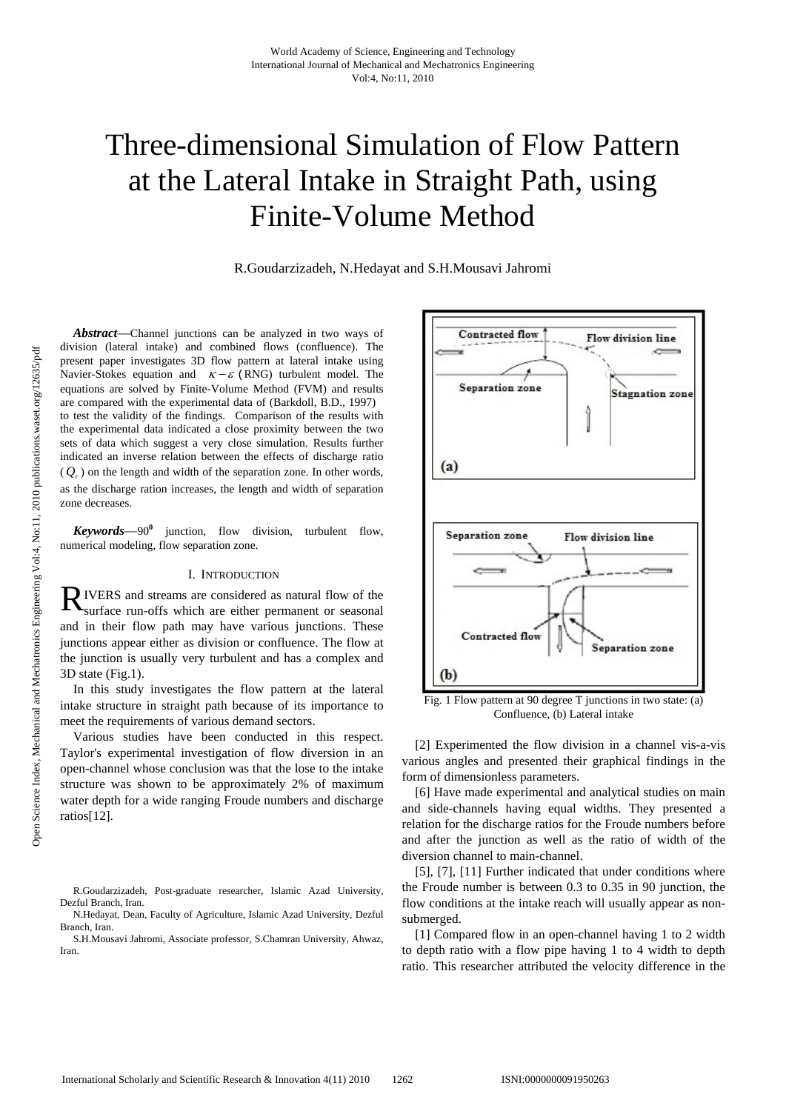# Three-dimensional Simulation of Flow Pattern at the Lateral Intake in Straight Path, using Finite-Volume Method

R.Goudarzizadeh, N.Hedayat and S.H.Mousavi Jahromi

*Abstract*—Channel junctions can be analyzed in two ways of division (lateral intake) and combined flows (confluence). The present paper investigates 3D flow pattern at lateral intake using Navier-Stokes equation and  $\kappa - \varepsilon$  (RNG) turbulent model. The equations are solved by Finite-Volume Method (FVM) and results are compared with the experimental data of (Barkdoll, B.D., 1997) to test the validity of the findings. Comparison of the results with the experimental data indicated a close proximity between the two sets of data which suggest a very close simulation. Results further indicated an inverse relation between the effects of discharge ratio  $(Q<sub>r</sub>)$  on the length and width of the separation zone. In other words, as the discharge ration increases, the length and width of separation zone decreases.

*Keywords*—90**<sup>0</sup>** junction, flow division, turbulent flow, numerical modeling, flow separation zone.

## I. INTRODUCTION

IVERS and streams are considered as natural flow of the RIVERS and streams are considered as natural flow of the surface run-offs which are either permanent or seasonal and in their flow path may have various junctions. These junctions appear either as division or confluence. The flow at the junction is usually very turbulent and has a complex and 3D state (Fig.1).

In this study investigates the flow pattern at the lateral intake structure in straight path because of its importance to meet the requirements of various demand sectors.

Various studies have been conducted in this respect. Taylor's experimental investigation of flow diversion in an open-channel whose conclusion was that the lose to the intake structure was shown to be approximately 2% of maximum water depth for a wide ranging Froude numbers and discharge ratios[12].



Fig. 1 Flow pattern at 90 degree T junctions in two state: (a) Confluence, (b) Lateral intake

[2] Experimented the flow division in a channel vis-a-vis various angles and presented their graphical findings in the form of dimensionless parameters.

[6] Have made experimental and analytical studies on main and side-channels having equal widths. They presented a relation for the discharge ratios for the Froude numbers before and after the junction as well as the ratio of width of the diversion channel to main-channel.

[5], [7], [11] Further indicated that under conditions where the Froude number is between 0.3 to 0.35 in 90 junction, the flow conditions at the intake reach will usually appear as nonsubmerged.

[1] Compared flow in an open-channel having 1 to 2 width to depth ratio with a flow pipe having 1 to 4 width to depth ratio. This researcher attributed the velocity difference in the

R.Goudarzizadeh, Post-graduate researcher, Islamic Azad University, Dezful Branch, Iran.

N.Hedayat, Dean, Faculty of Agriculture, Islamic Azad University, Dezful Branch, Iran.

S.H.Mousavi Jahromi, Associate professor, S.Chamran University, Ahwaz, Iran.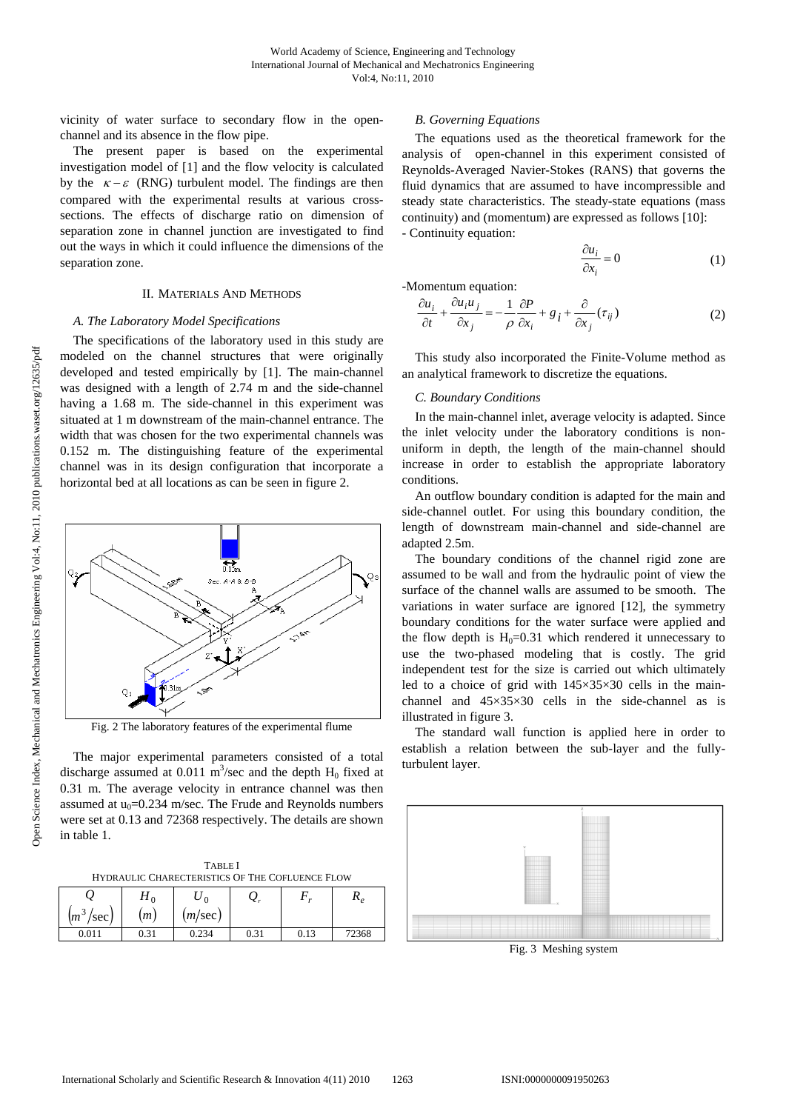vicinity of water surface to secondary flow in the openchannel and its absence in the flow pipe.

The present paper is based on the experimental investigation model of [1] and the flow velocity is calculated by the  $\kappa - \varepsilon$  (RNG) turbulent model. The findings are then compared with the experimental results at various crosssections. The effects of discharge ratio on dimension of separation zone in channel junction are investigated to find out the ways in which it could influence the dimensions of the separation zone.

#### II. MATERIALS AND METHODS

#### *A. The Laboratory Model Specifications*

The specifications of the laboratory used in this study are modeled on the channel structures that were originally developed and tested empirically by [1]. The main-channel was designed with a length of 2.74 m and the side-channel having a 1.68 m. The side-channel in this experiment was situated at 1 m downstream of the main-channel entrance. The width that was chosen for the two experimental channels was 0.152 m. The distinguishing feature of the experimental channel was in its design configuration that incorporate a horizontal bed at all locations as can be seen in figure 2.



Fig. 2 The laboratory features of the experimental flume

The major experimental parameters consisted of a total discharge assumed at 0.011  $\text{m}^3/\text{sec}$  and the depth  $\text{H}_0$  fixed at 0.31 m. The average velocity in entrance channel was then assumed at  $u_0$ =0.234 m/sec. The Frude and Reynolds numbers were set at 0.13 and 72368 respectively. The details are shown in table 1.

TABLE I HYDRAULIC CHARECTERISTICS OF THE COFLUENCE FLOW

|                                             |      |         | z,   |      |       |
|---------------------------------------------|------|---------|------|------|-------|
| $\mathbf{r}$<br>(m <sup>3</sup> )<br>/sec J | (m)  | (m/sec) |      |      |       |
| 0.011                                       | 0.31 | 0.234   | 0.31 | 0.13 | 72368 |

## *B. Governing Equations*

The equations used as the theoretical framework for the analysis of open-channel in this experiment consisted of Reynolds-Averaged Navier-Stokes (RANS) that governs the fluid dynamics that are assumed to have incompressible and steady state characteristics. The steady-state equations (mass continuity) and (momentum) are expressed as follows [10]: - Continuity equation:

$$
\frac{\partial u_i}{\partial x_i} = 0 \tag{1}
$$

-Momentum equation:

$$
\frac{\partial u_i}{\partial t} + \frac{\partial u_i u_j}{\partial x_j} = -\frac{1}{\rho} \frac{\partial P}{\partial x_i} + g_i + \frac{\partial}{\partial x_j} (\tau_{ij})
$$
 (2)

This study also incorporated the Finite-Volume method as an analytical framework to discretize the equations.

#### *C. Boundary Conditions*

In the main-channel inlet, average velocity is adapted. Since the inlet velocity under the laboratory conditions is nonuniform in depth, the length of the main-channel should increase in order to establish the appropriate laboratory conditions.

An outflow boundary condition is adapted for the main and side-channel outlet. For using this boundary condition, the length of downstream main-channel and side-channel are adapted 2.5m.

The boundary conditions of the channel rigid zone are assumed to be wall and from the hydraulic point of view the surface of the channel walls are assumed to be smooth. The variations in water surface are ignored [12], the symmetry boundary conditions for the water surface were applied and the flow depth is  $H_0=0.31$  which rendered it unnecessary to use the two-phased modeling that is costly. The grid independent test for the size is carried out which ultimately led to a choice of grid with 145×35×30 cells in the mainchannel and 45×35×30 cells in the side-channel as is illustrated in figure 3.

The standard wall function is applied here in order to establish a relation between the sub-layer and the fullyturbulent layer.



Fig. 3 Meshing system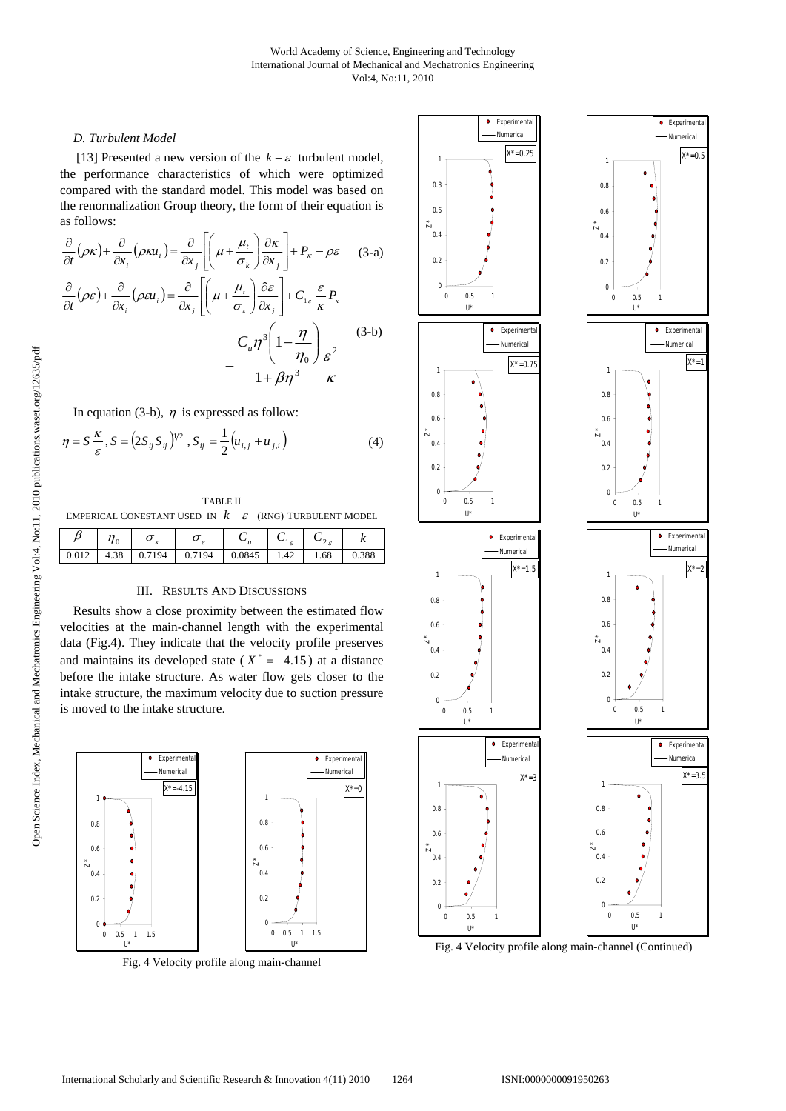## *D. Turbulent Model*

[13] Presented a new version of the  $k - \varepsilon$  turbulent model, the performance characteristics of which were optimized compared with the standard model. This model was based on the renormalization Group theory, the form of their equation is as follows:

$$
\frac{\partial}{\partial t}(\rho \kappa) + \frac{\partial}{\partial x_i}(\rho \kappa u_i) = \frac{\partial}{\partial x_j} \left[ \left( \mu + \frac{\mu_i}{\sigma_k} \right) \frac{\partial \kappa}{\partial x_j} \right] + P_{\kappa} - \rho \varepsilon \quad (3-a)
$$

$$
\frac{\partial}{\partial t}(\rho \varepsilon) + \frac{\partial}{\partial x_i}(\rho \varepsilon u_i) = \frac{\partial}{\partial x_j} \left[ \left( \mu + \frac{\mu_i}{\sigma_{\varepsilon}} \right) \frac{\partial \varepsilon}{\partial x_j} \right] + C_{1\varepsilon} \frac{\varepsilon}{\kappa} P_{\kappa}
$$

$$
- \frac{C_u \eta^3 \left( 1 - \frac{\eta}{\eta_0} \right)}{1 + \beta \eta^3} \frac{\varepsilon^2}{\kappa}
$$

In equation (3-b),  $\eta$  is expressed as follow:

$$
\eta = S \frac{\kappa}{\varepsilon}, S = \left( 2S_{ij} S_{ij} \right)^{1/2}, S_{ij} = \frac{1}{2} \left( u_{i,j} + u_{j,i} \right) \tag{4}
$$

TABLE II

EMPERICAL CONESTANT USED IN  $k - \varepsilon$  (RNG) TURBULENT MODEL

|       | $\sim$     | ັ<br>$\mathbf{r}$<br>$\mathbf{r}$ | ັ<br>$\epsilon$ | $\sim$ | c    | ÷              | $\ddot{\phantom{0}}$ |
|-------|------------|-----------------------------------|-----------------|--------|------|----------------|----------------------|
| 0.012 | 20<br>4.JO |                                   | 94              | 0.0845 | 1.42 | $\sim$<br>1.08 | 0.388                |
|       |            |                                   |                 |        |      |                |                      |

#### III. RESULTS AND DISCUSSIONS

Results show a close proximity between the estimated flow velocities at the main-channel length with the experimental data (Fig.4). They indicate that the velocity profile preserves and maintains its developed state ( $X^* = -4.15$ ) at a distance before the intake structure. As water flow gets closer to the intake structure, the maximum velocity due to suction pressure is moved to the intake structure.

![](_page_2_Figure_11.jpeg)

Fig. 4 Velocity profile along main-channel

![](_page_2_Figure_13.jpeg)

 $X^* = 0.5$ 

*X\*=1*

*X\*=2*

*X*\*=3.5

 $\bullet$  Experiment Numerical

 $\bullet$  Experiments Numerical

Experimenta Numerical

 $\bullet$ 

 $\bullet$  Experiment Numerical

Fig. 4 Velocity profile along main-channel (Continued)

η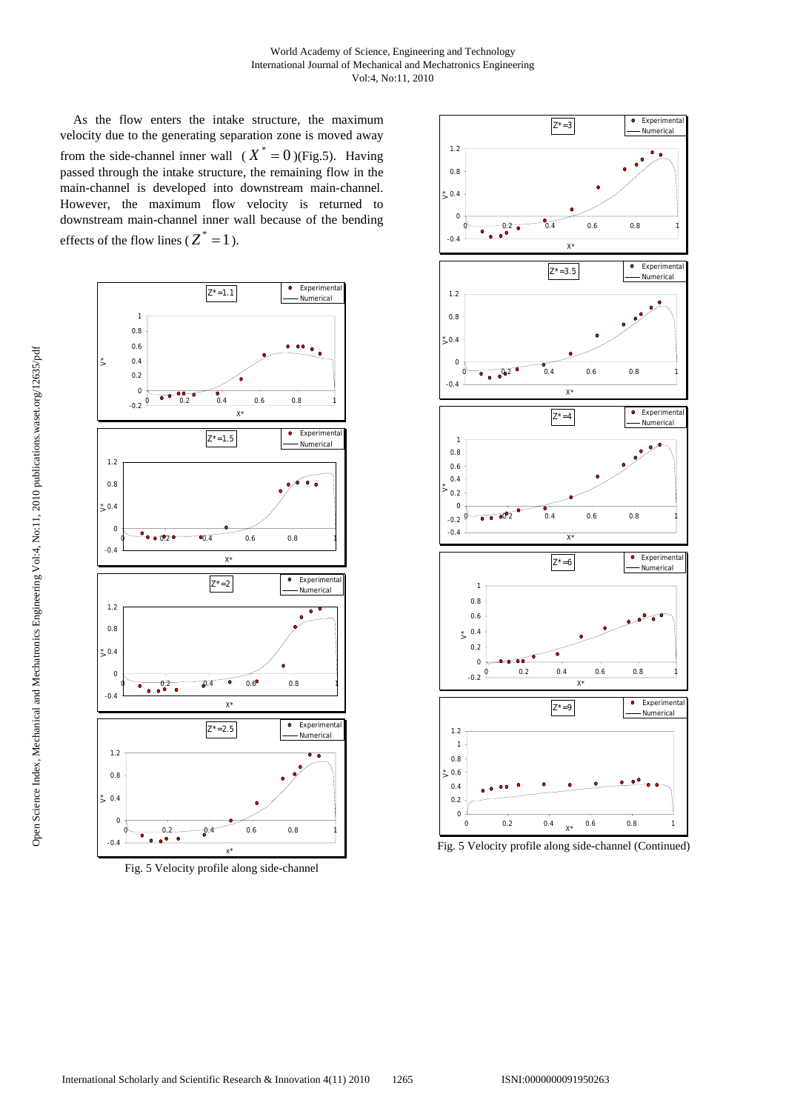As the flow enters the intake structure, the maximum velocity due to the generating separation zone is moved away from the side-channel inner wall  $(X^* = 0)$ (Fig.5). Having passed through the intake structure, the remaining flow in the main-channel is developed into downstream main-channel. However, the maximum flow velocity is returned to downstream main-channel inner wall because of the bending effects of the flow lines ( $Z^* = 1$ ).

![](_page_3_Figure_2.jpeg)

Fig. 5 Velocity profile along side-channel

![](_page_3_Figure_4.jpeg)

![](_page_3_Figure_5.jpeg)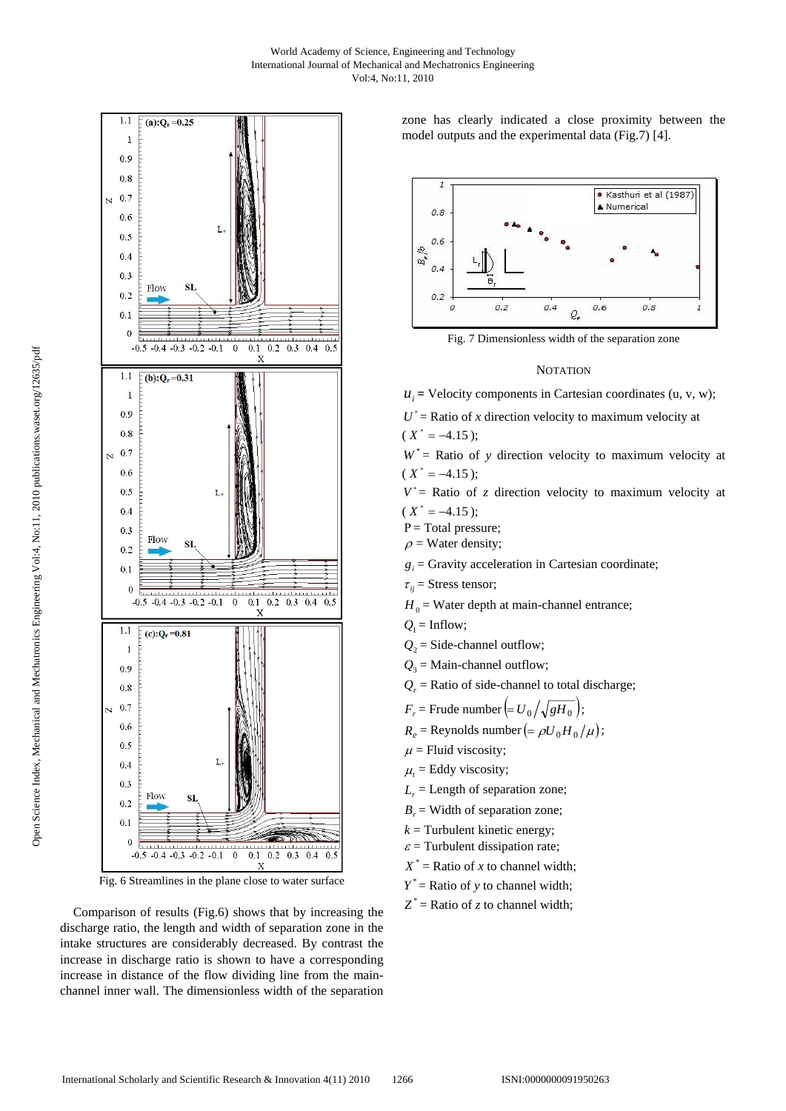![](_page_4_Figure_1.jpeg)

Fig. 6 Streamlines in the plane close to water surface

Comparison of results (Fig.6) shows that by increasing the discharge ratio, the length and width of separation zone in the intake structures are considerably decreased. By contrast the increase in discharge ratio is shown to have a corresponding increase in distance of the flow dividing line from the mainchannel inner wall. The dimensionless width of the separation zone has clearly indicated a close proximity between the model outputs and the experimental data (Fig.7) [4].

![](_page_4_Figure_5.jpeg)

Fig. 7 Dimensionless width of the separation zone

### **NOTATION**

 $u_i$  = Velocity components in Cartesian coordinates (u, v, w);

 $U^*$  = Ratio of *x* direction velocity to maximum velocity at  $(X^* = -4.15);$ 

 $W^*$  = Ratio of y direction velocity to maximum velocity at  $(X^* = -4.15)$ :

 $V^*$  = Ratio of *z* direction velocity to maximum velocity at  $(X^* = -4.15);$ 

 $P = Total pressure;$ 

 $\rho$  = Water density;

 $g_i$  = Gravity acceleration in Cartesian coordinate;

- $\tau_{ii}$  = Stress tensor;
- $H_0$  = Water depth at main-channel entrance;
- $Q_1$  = Inflow;
- $Q_2$  = Side-channel outflow;
- $Q_3$  = Main-channel outflow;
- $Q_r$  = Ratio of side-channel to total discharge;

 $F_r$  = Frude number  $\left( = U_0 / \sqrt{gH_0} \right);$ 

- $R_e$  = Reynolds number (=  $\rho U_0 H_0 / \mu$ );
- $\mu$  = Fluid viscosity;
- $\mu_t$  = Eddy viscosity;
- $L_r$  = Length of separation zone;
- $B_r$  = Width of separation zone;
- $k =$  Turbulent kinetic energy;
- $\varepsilon$  = Turbulent dissipation rate;
- $X^*$  = Ratio of *x* to channel width;
- $Y^*$  = Ratio of y to channel width;
- $Z^*$  = Ratio of *z* to channel width;